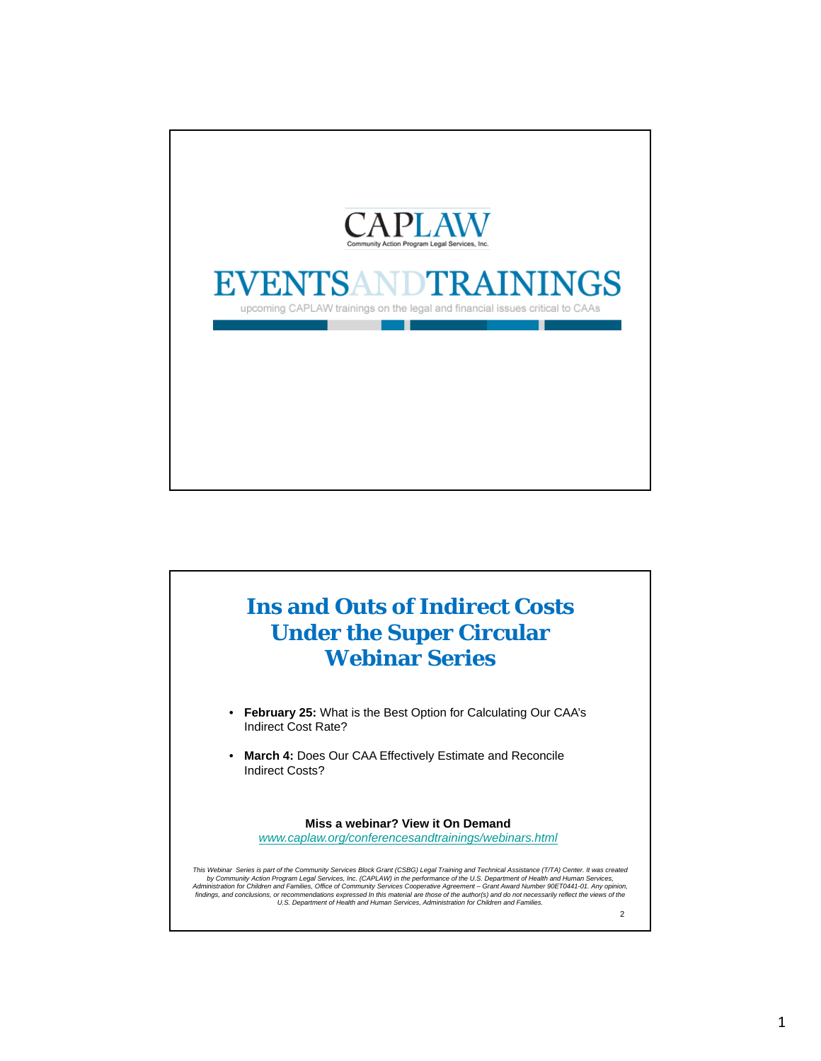

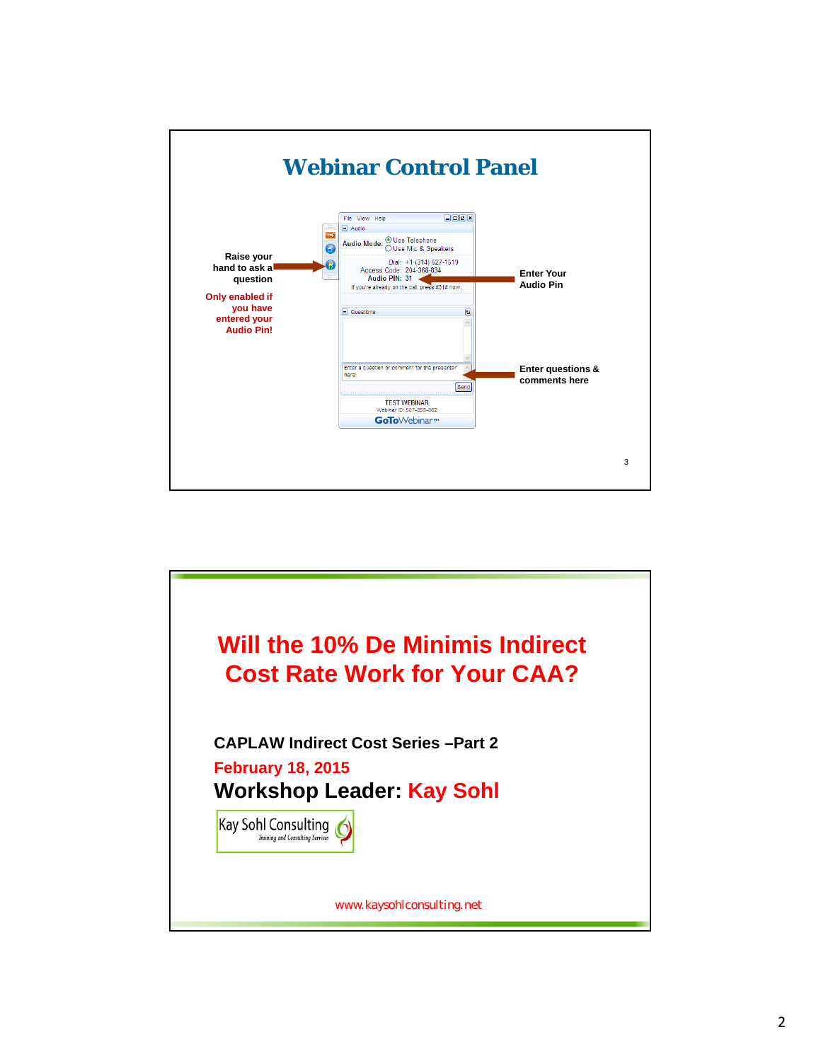

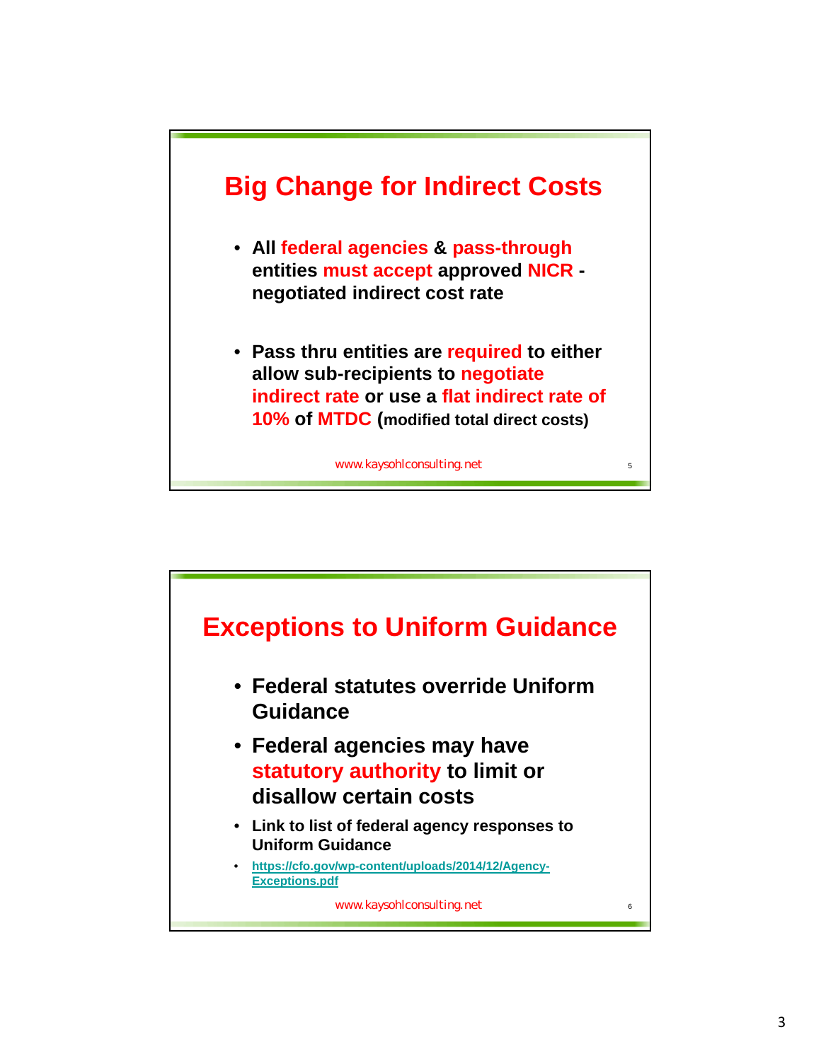

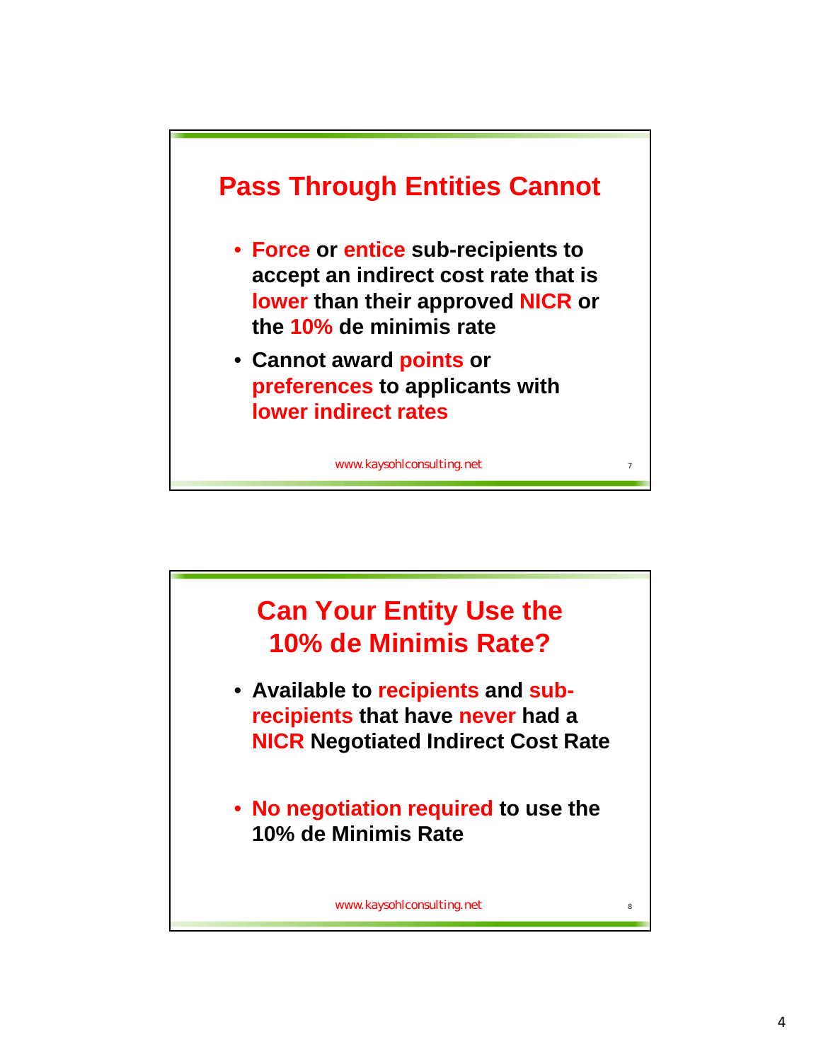

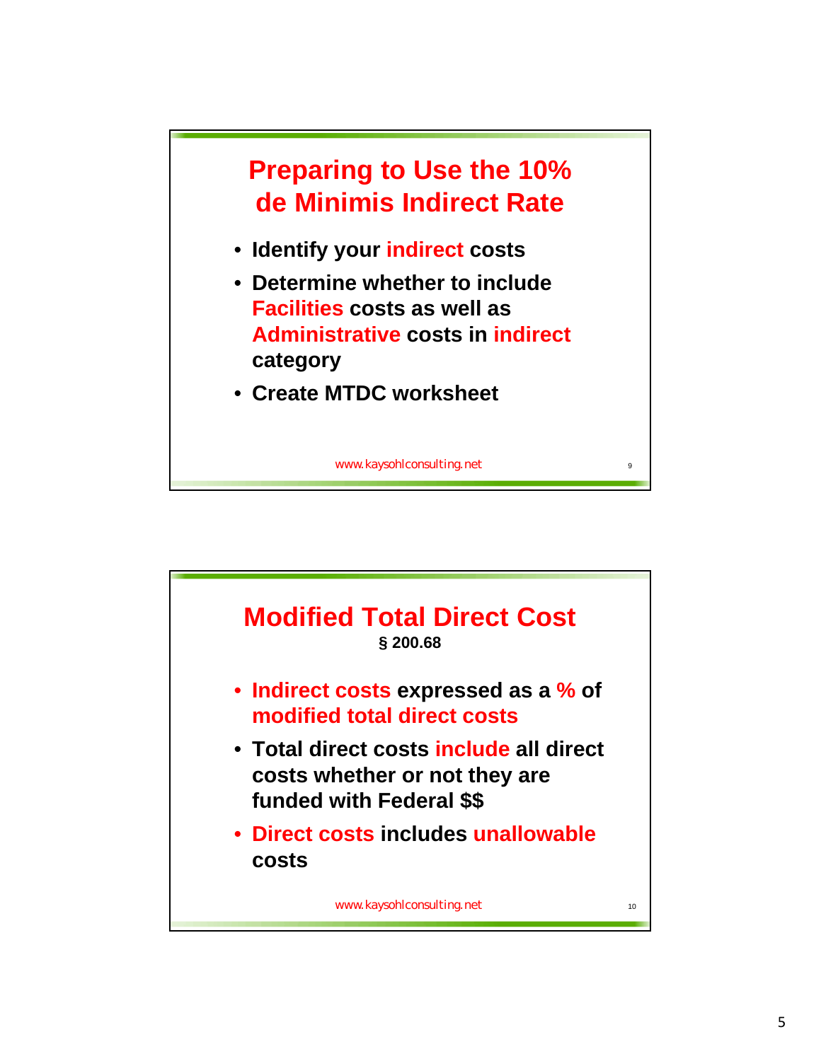

- **Identify your indirect costs**
- **Determine whether to include Facilities costs as well as Administrative costs in indirect category**
- **Create MTDC worksheet**

www.kaysohlconsulting.net

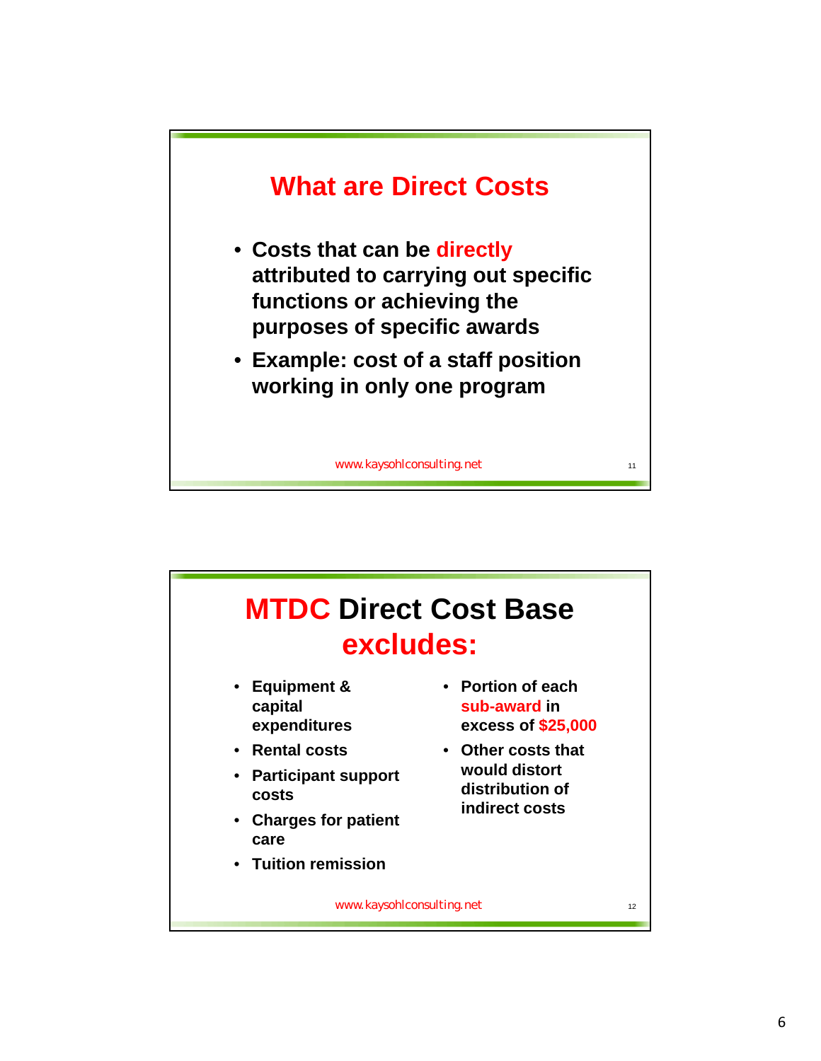

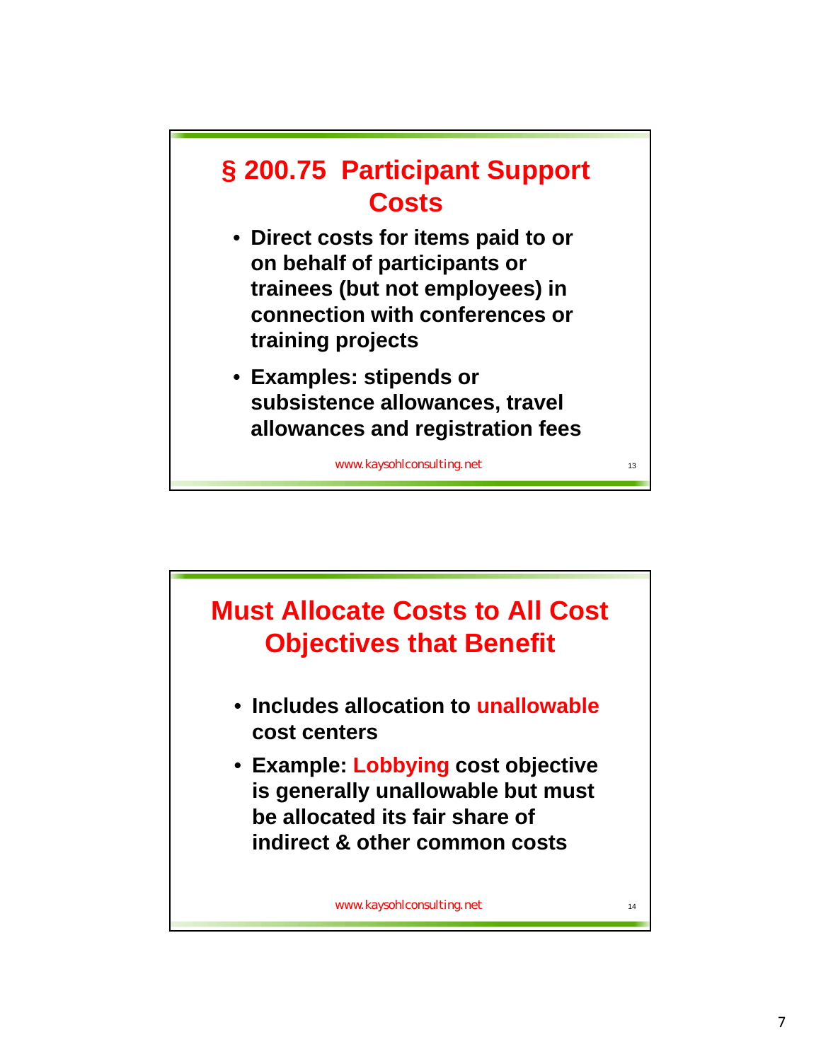

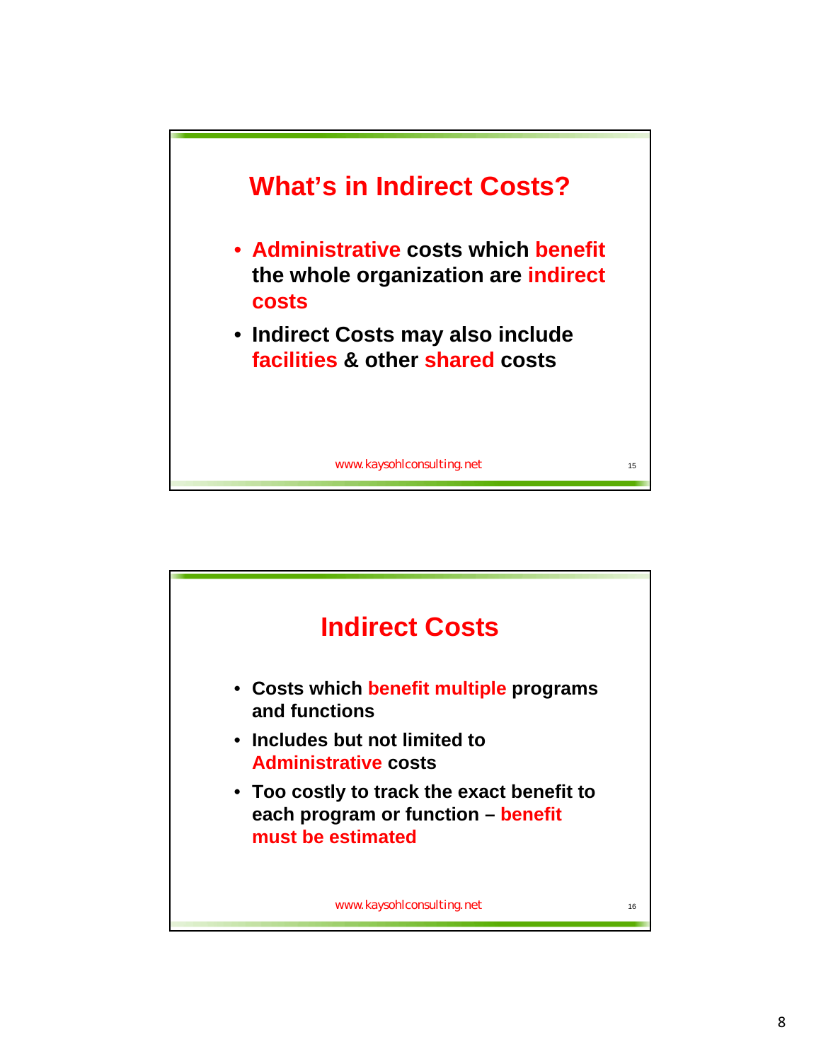

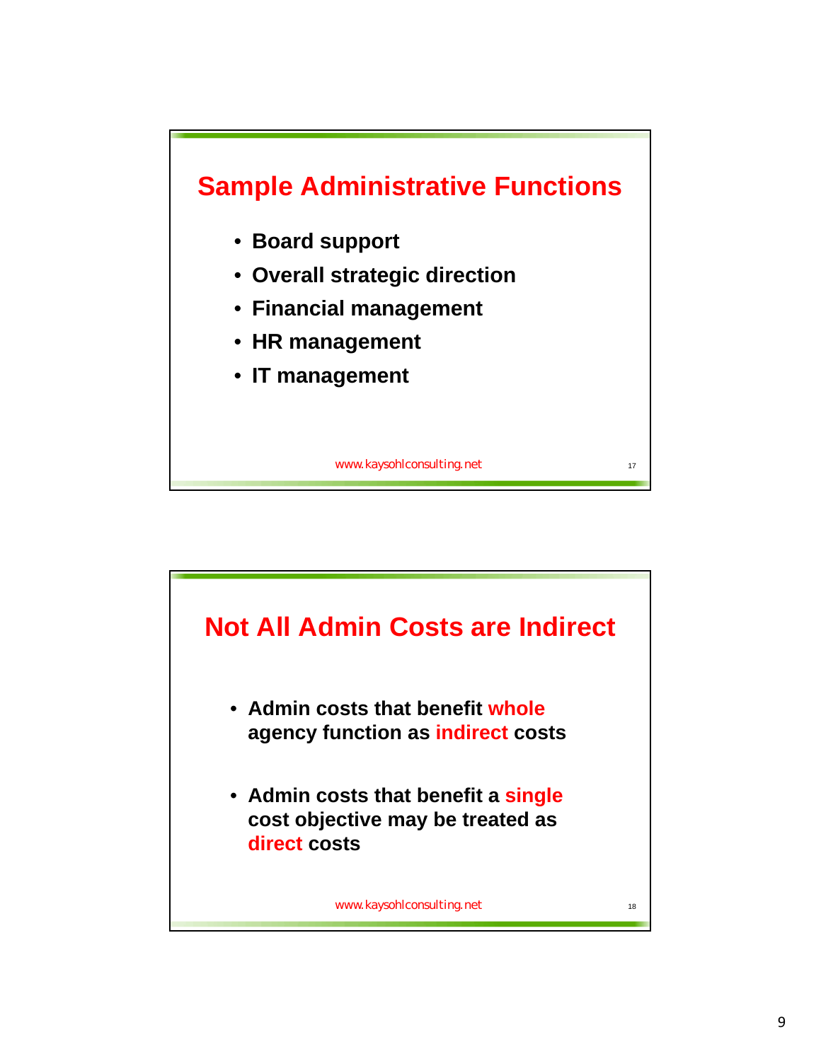

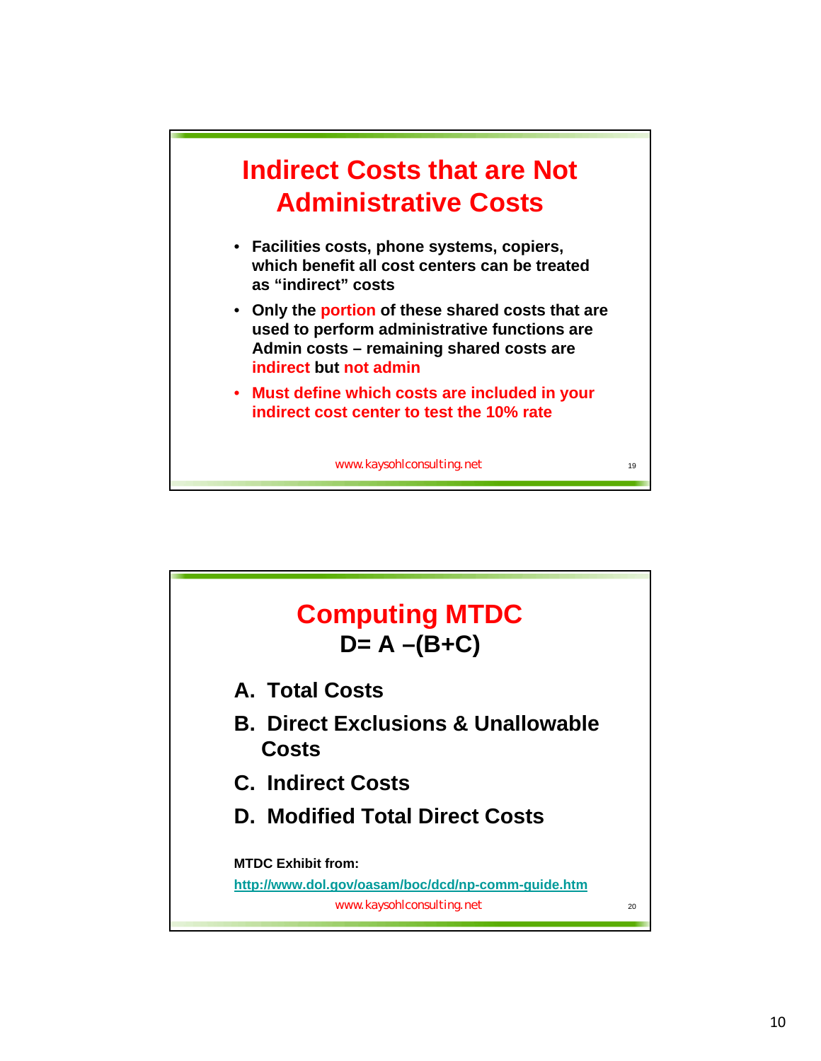

- **Facilities costs, phone systems, copiers, which benefit all cost centers can be treated as "indirect" costs**
- **Only the portion of these shared costs that are used to perform administrative functions are Admin costs – remaining shared costs are indirect but not admin**
- **Must define which costs are included in your indirect cost center to test the 10% rate**

www.kaysohlconsulting.net

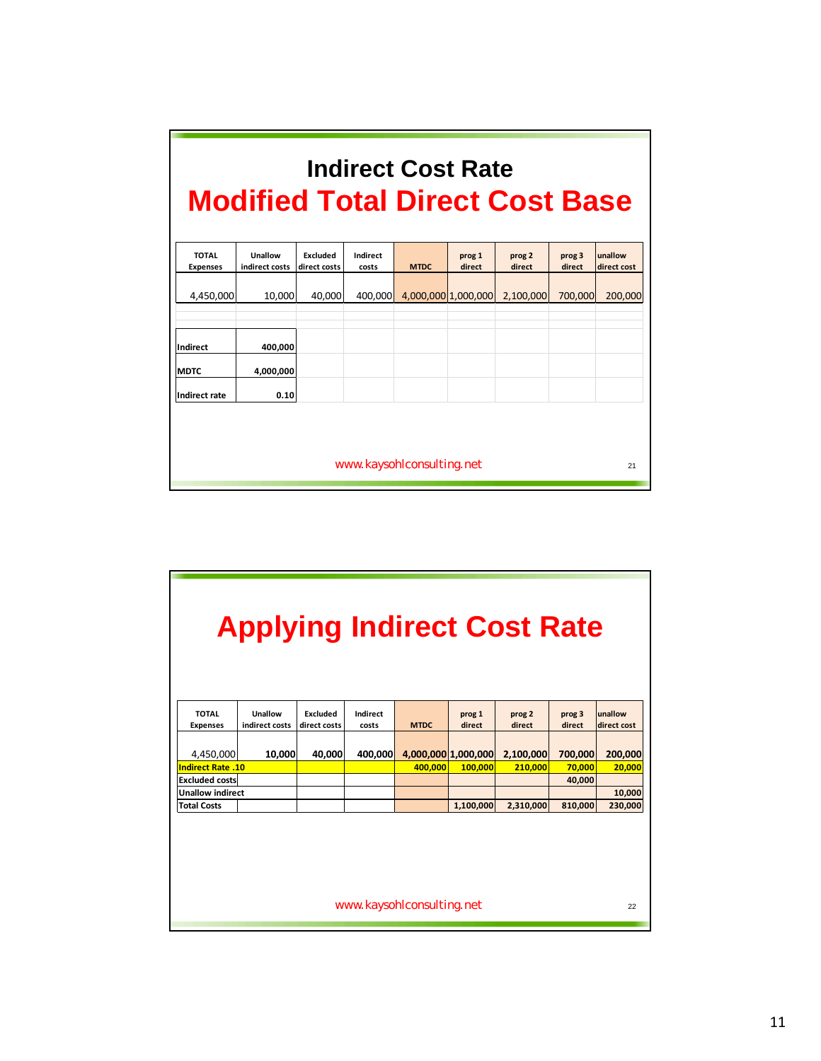|                                 | <b>Modified Total Direct Cost Base</b> |                                 |                   | <b>Indirect Cost Rate</b> |                     |                  |                  |                        |
|---------------------------------|----------------------------------------|---------------------------------|-------------------|---------------------------|---------------------|------------------|------------------|------------------------|
| <b>TOTAL</b><br><b>Expenses</b> | Unallow<br>indirect costs              | <b>Fxcluded</b><br>direct costs | Indirect<br>costs | <b>MTDC</b>               | prog 1<br>direct    | prog 2<br>direct | prog 3<br>direct | unallow<br>direct cost |
| 4,450,000                       | 10,000                                 | 40.000                          | 400,000           |                           | 4,000,000 1,000,000 | 2,100,000        | 700,000          | 200,000                |
| <b>Indirect</b>                 | 400,000                                |                                 |                   |                           |                     |                  |                  |                        |
| <b>MDTC</b><br>Indirect rate    | 4,000,000<br>0.10                      |                                 |                   |                           |                     |                  |                  |                        |
|                                 |                                        |                                 |                   |                           |                     |                  |                  |                        |
|                                 |                                        |                                 |                   | www.kaysohlconsulting.net |                     |                  |                  | 21                     |

|                          | <b>Applying Indirect Cost Rate</b> |              |          |                           |                     |           |         |             |
|--------------------------|------------------------------------|--------------|----------|---------------------------|---------------------|-----------|---------|-------------|
| <b>TOTAL</b>             | Unallow                            | Excluded     | Indirect |                           | prog 1              | prog 2    | prog 3  | unallow     |
| <b>Expenses</b>          | indirect costs                     | direct costs | costs    | <b>MTDC</b>               | direct              | direct    | direct  | direct cost |
| 4,450,000                | 10,000                             | 40,000       | 400,000  |                           | 4,000,000 1,000,000 | 2,100,000 | 700,000 | 200,000     |
| <b>Indirect Rate .10</b> |                                    |              |          | 400.000                   | 100,000             | 210,000   | 70,000  | 20,000      |
| <b>Excluded costs</b>    |                                    |              |          |                           |                     |           | 40,000  |             |
| <b>Unallow indirect</b>  |                                    |              |          |                           |                     |           |         | 10,000      |
| <b>Total Costs</b>       |                                    |              |          |                           | 1,100,000           | 2,310,000 | 810,000 | 230,000     |
|                          |                                    |              |          |                           |                     |           |         |             |
|                          |                                    |              |          | www.kaysohlconsulting.net |                     |           |         | 22          |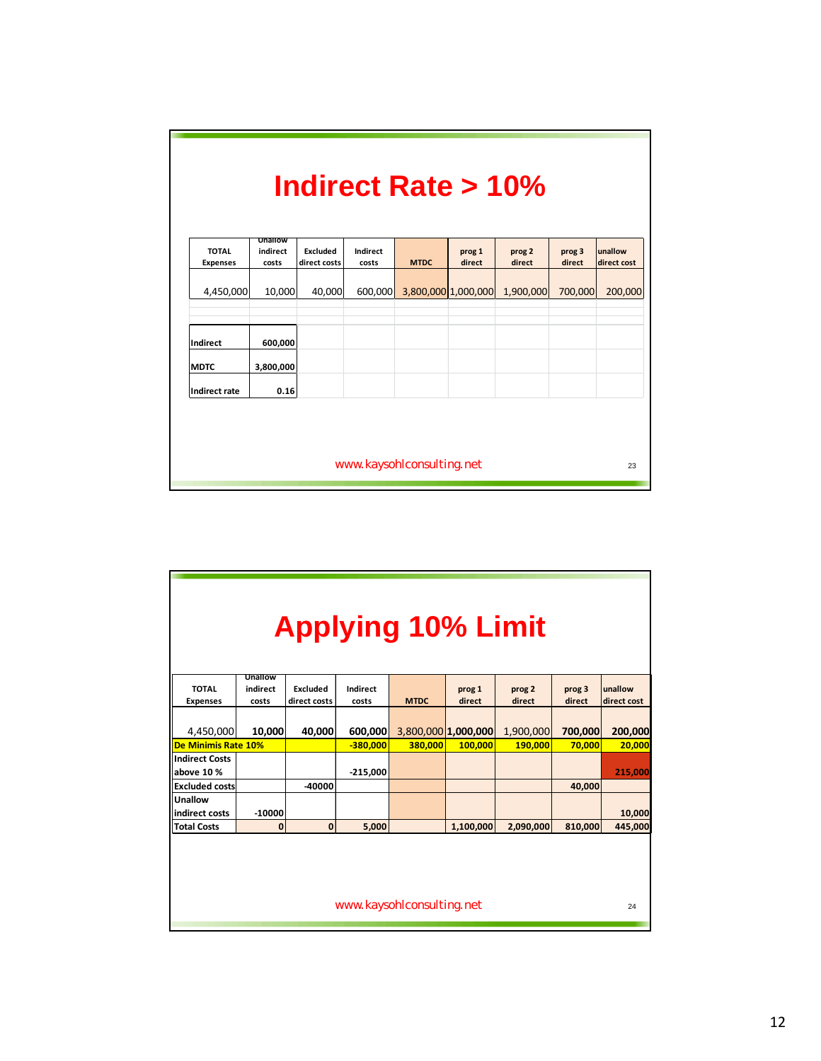| <b>TOTAL</b>    | Unallow<br>indirect | Excluded     | Indirect |             | prog 1              | prog 2    | prog 3  | unallow     |
|-----------------|---------------------|--------------|----------|-------------|---------------------|-----------|---------|-------------|
| <b>Expenses</b> | costs               | direct costs | costs    | <b>MTDC</b> | direct              | direct    | direct  | direct cost |
| 4,450,000       | 10,000              | 40,000       | 600,000  |             | 3,800,000 1,000,000 | 1,900,000 | 700,000 | 200,000     |
| Indirect        | 600,000             |              |          |             |                     |           |         |             |
| <b>MDTC</b>     | 3,800,000           |              |          |             |                     |           |         |             |
| Indirect rate   | 0.16                |              |          |             |                     |           |         |             |

|                                     |                              |                          |                   | <b>Applying 10% Limit</b> |                     |                  |                  |                        |
|-------------------------------------|------------------------------|--------------------------|-------------------|---------------------------|---------------------|------------------|------------------|------------------------|
| <b>TOTAL</b><br><b>Expenses</b>     | Unallow<br>indirect<br>costs | Excluded<br>direct costs | Indirect<br>costs | <b>MTDC</b>               | prog 1<br>direct    | prog 2<br>direct | prog 3<br>direct | unallow<br>direct cost |
| 4,450,000                           | 10,000                       | 40,000                   | 600,000           |                           | 3,800,000 1,000,000 | 1,900,000        | 700,000          | 200,000                |
| <b>De Minimis Rate 10%</b>          |                              |                          | $-380,000$        | 380,000                   | 100,000             | 190,000          | 70,000           | 20,000                 |
| <b>Indirect Costs</b><br>above 10 % |                              |                          | $-215,000$        |                           |                     |                  |                  | 215,000                |
| <b>Excluded costs</b>               |                              | $-40000$                 |                   |                           |                     |                  | 40,000           |                        |
| Unallow<br>indirect costs           | $-10000$                     |                          |                   |                           |                     |                  |                  | 10,000                 |
| <b>Total Costs</b>                  | 0                            | $\mathbf{0}$             | 5,000             |                           | 1,100,000           | 2,090,000        | 810,000          | 445,000                |
|                                     |                              |                          |                   |                           |                     |                  |                  |                        |
|                                     |                              |                          |                   | www.kaysohlconsulting.net |                     |                  |                  | 24                     |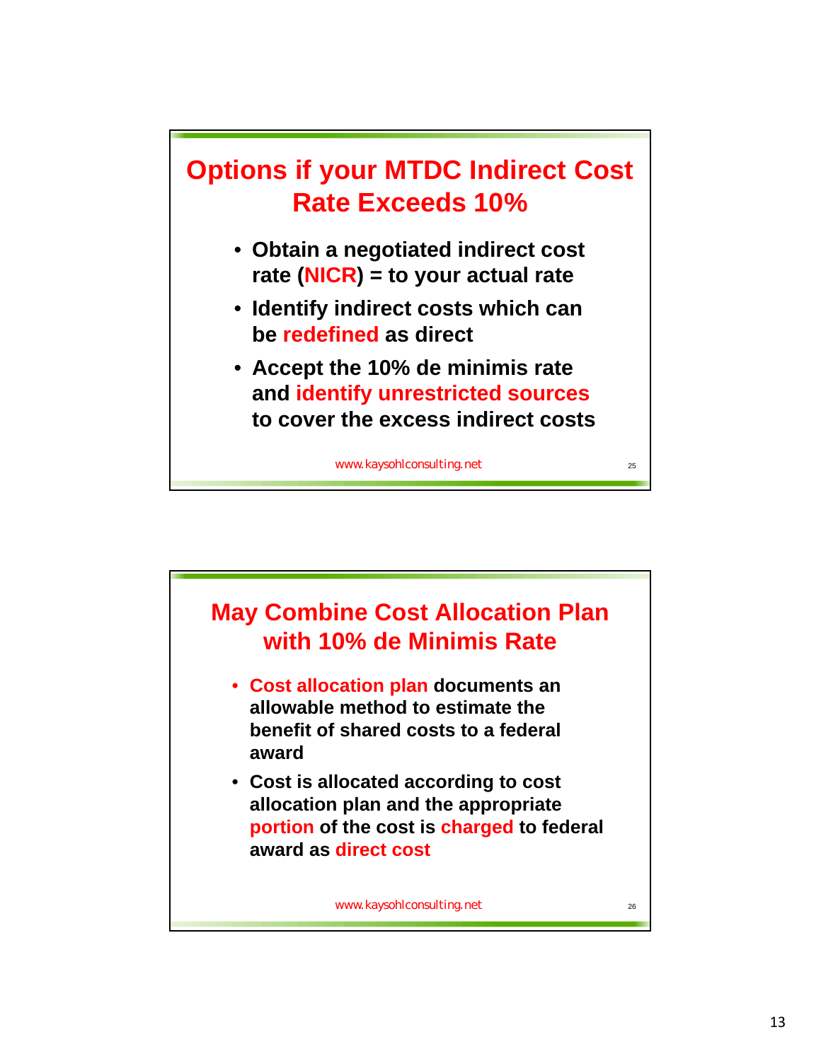

- **Obtain a negotiated indirect cost rate (NICR) = to your actual rate**
- **Identify indirect costs which can be redefined as direct**
- **Accept the 10% de minimis rate and identify unrestricted sources to cover the excess indirect costs**

www.kaysohlconsulting.net

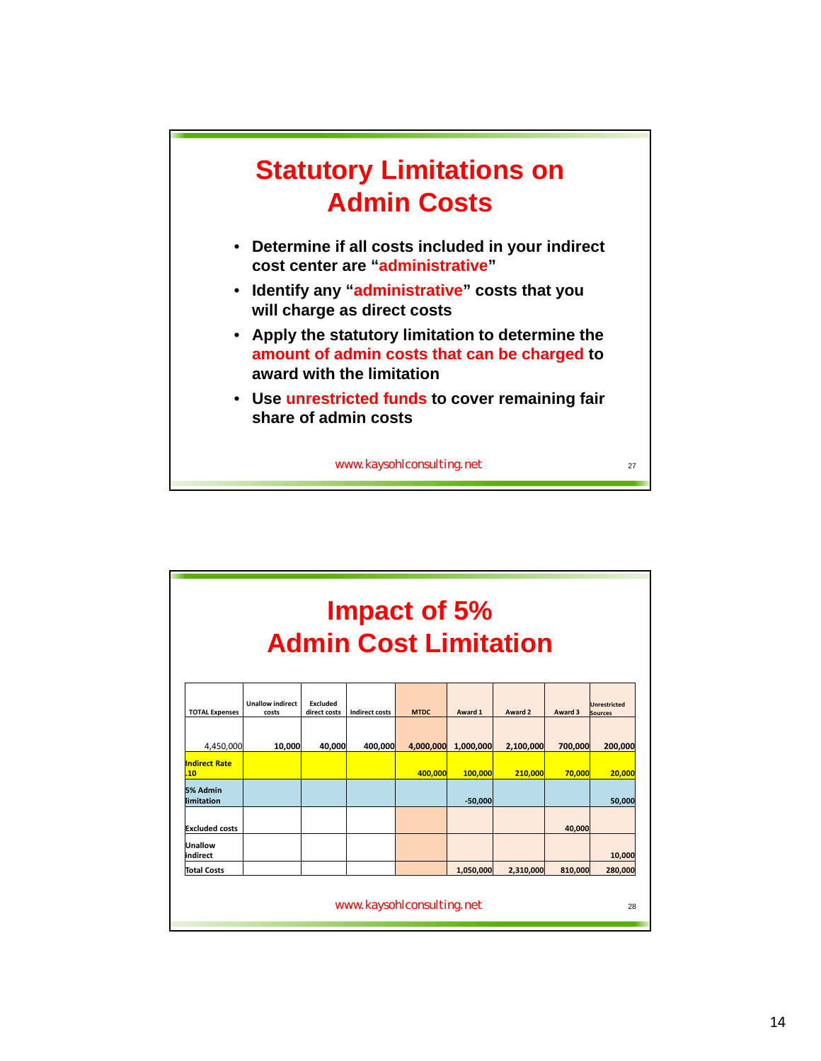

|                                     |                                  |                          |                       | Impact of 5%<br><b>Admin Cost Limitation</b> |           |           |         |                                       |
|-------------------------------------|----------------------------------|--------------------------|-----------------------|----------------------------------------------|-----------|-----------|---------|---------------------------------------|
| <b>TOTAL Expenses</b>               | <b>Unallow indirect</b><br>costs | Excluded<br>direct costs | <b>Indirect costs</b> | <b>MTDC</b>                                  | Award 1   | Award 2   | Award 3 | <b>Unrestricted</b><br><b>Sources</b> |
| 4,450,000                           | 10,000                           | 40,000                   | 400,000               | 4,000,000                                    | 1,000,000 | 2,100,000 | 700,000 | 200,000                               |
| <b>Indirect Rate</b><br>.10         |                                  |                          |                       | 400.000                                      | 100,000   | 210,000   | 70,000  | 20,000                                |
| 5% Admin<br>limitation<br>$-50,000$ |                                  |                          |                       |                                              | 50,000    |           |         |                                       |
| <b>Excluded costs</b>               |                                  |                          |                       |                                              |           |           | 40,000  |                                       |
| Unallow<br>indirect                 |                                  |                          |                       |                                              |           |           |         | 10,000                                |
| <b>Total Costs</b>                  |                                  |                          |                       |                                              | 1.050.000 | 2,310,000 | 810.000 | 280,000                               |
|                                     |                                  |                          |                       | www.kaysohlconsulting.net                    |           |           |         | 28                                    |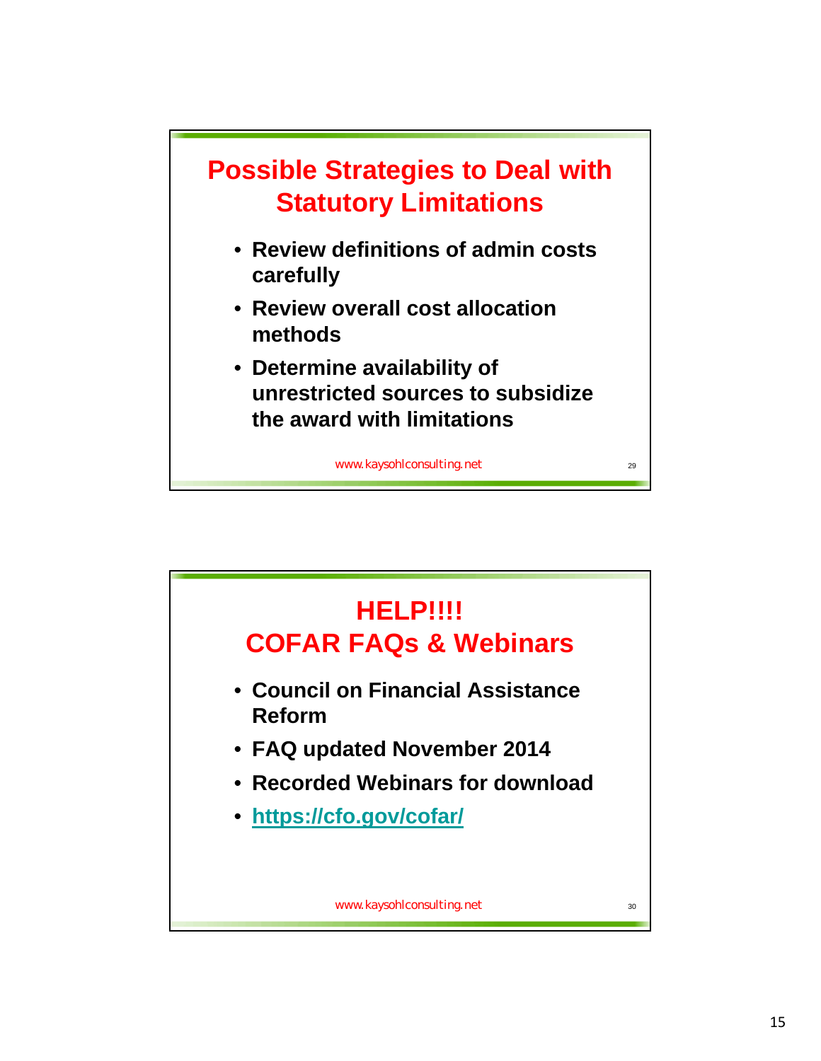

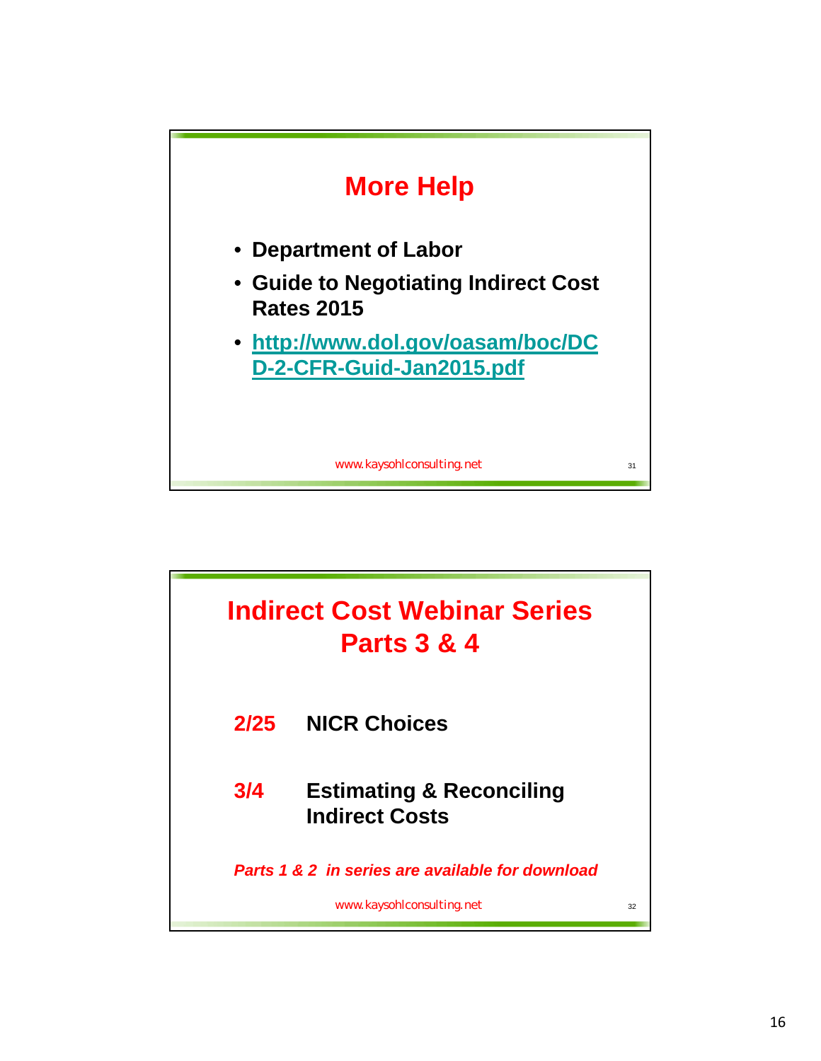

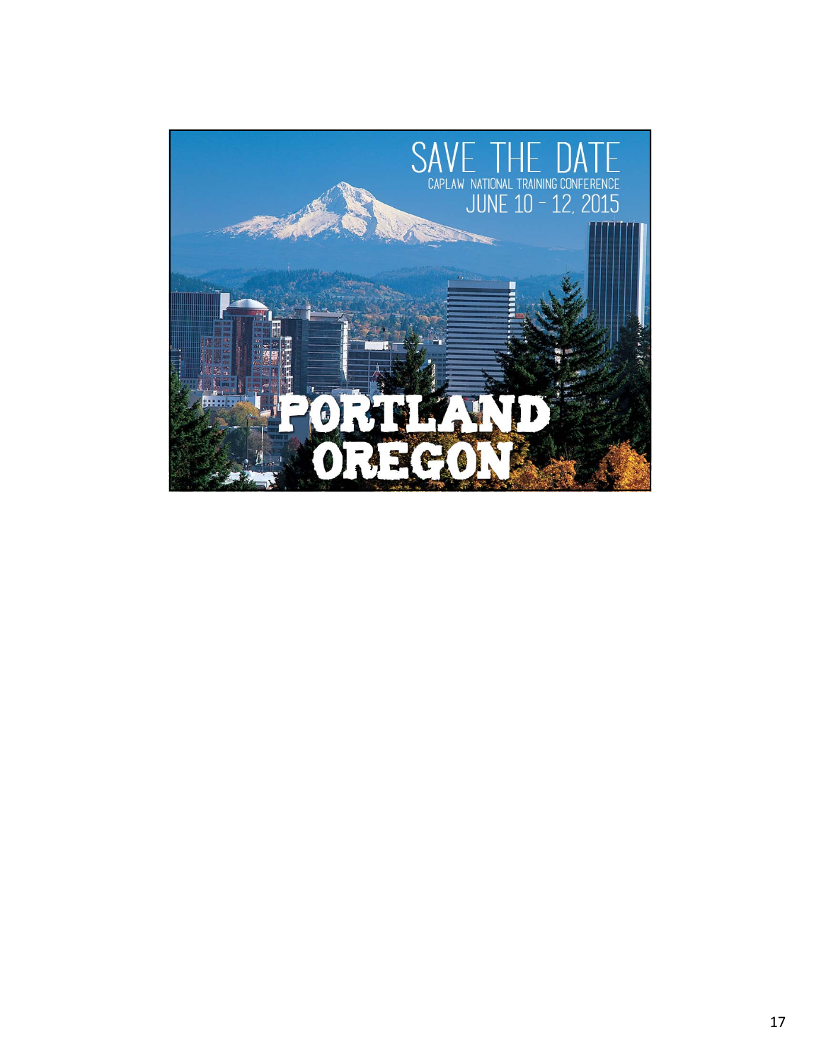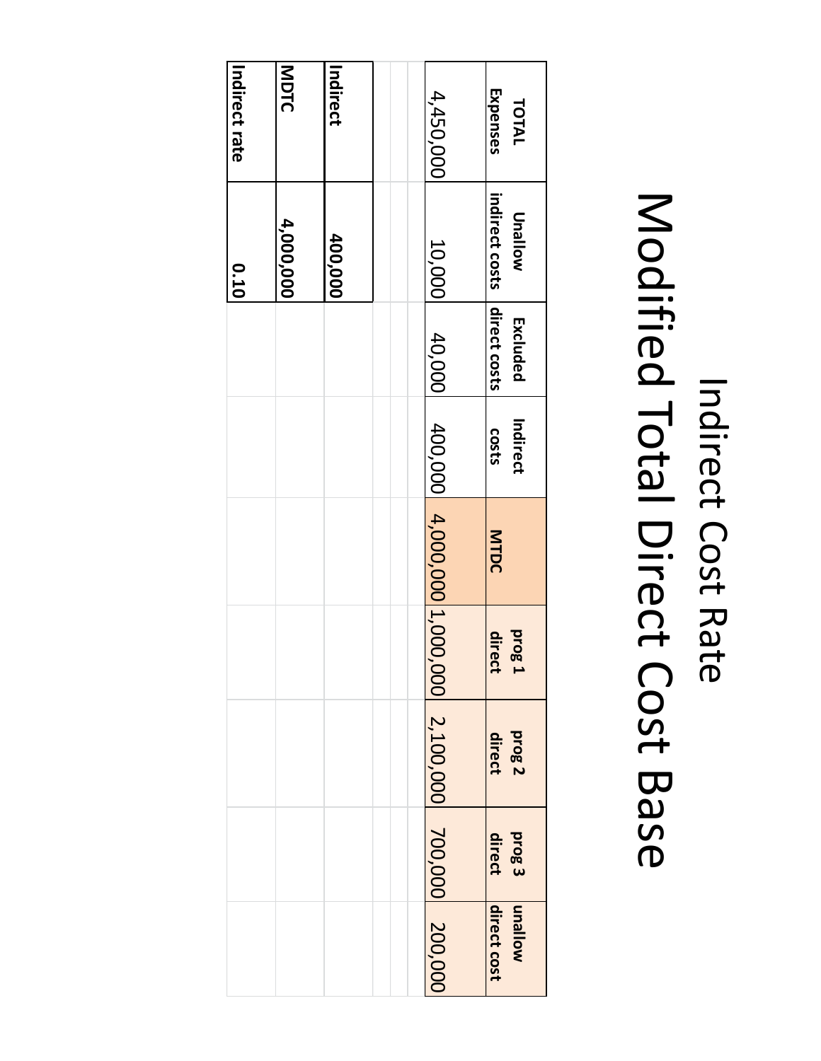#### **MDTCIndirectIndirect Expenses** 4,450,000 4,450,000**TOTAL rateindirect Unallow** 4,000,000  **4,000,000 400,000** 10,000**costs 0.10 direct** Excluded **Excluded** 40,000**costs Indirect costs** 400,000 4,000,000 **MTDC** 1,000,000**1 direct prog** 2,100,000**prog 2 direct** 700,000**direct prog 3 unallow direct** 200,000 **cost**

#### Indirect Cost Rate Modified Total Direct Cost Base<br>Pase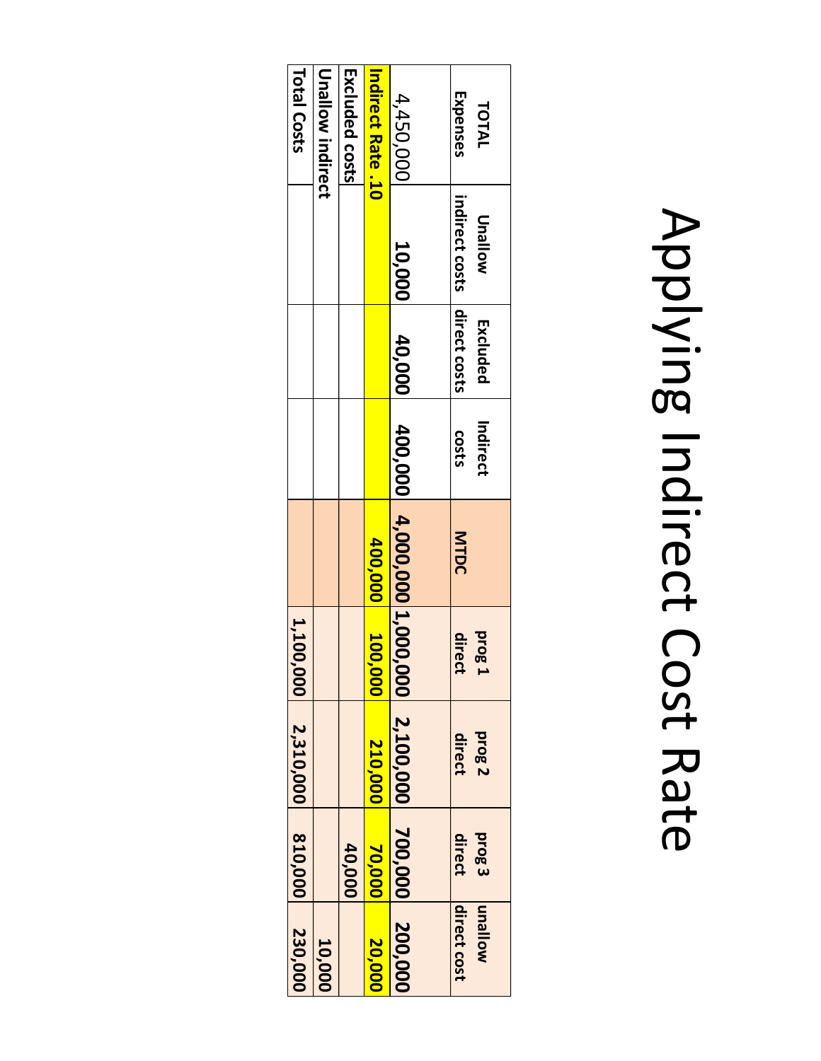# Applying Indirect Cost Rate

| Total Costs       | Unallow indirect | Excluded costs | <b>Indirect Rate .10</b> | 4,450,000<br>10,000         | Expenses<br>TOTAL<br>indirect costs   direct costs<br><b>Unallow</b> |
|-------------------|------------------|----------------|--------------------------|-----------------------------|----------------------------------------------------------------------|
|                   |                  |                |                          | 40,000                      | Excluded                                                             |
|                   |                  |                |                          |                             | Indirect<br><b>COStS</b>                                             |
|                   |                  |                | 400,000 100              | 400,000 4,000,000 1,000,000 | MTDC                                                                 |
| 1,100             |                  |                | 000                      |                             | <b>brg</b><br>direct                                                 |
| $ 000 $ 2,310,000 |                  |                | 210,000                  | 2,100,000                   | prog <sub>2</sub><br>direct                                          |
| 810,000           |                  | 40,000         | 70,000                   |                             | <b>prog3</b><br>direct                                               |
| 230,000           | 10,000           |                | 20,000                   | 700,000 200,000             | <b>Mollenu</b><br>direct cost                                        |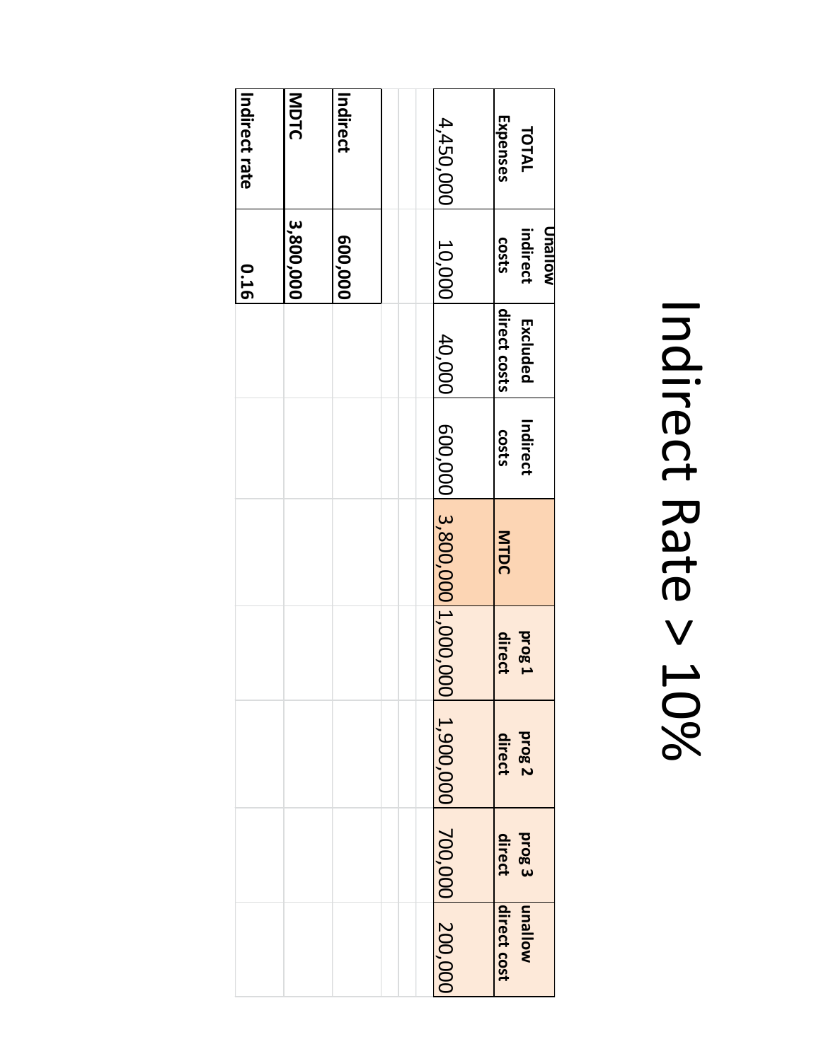### Indirect Rate  $\vee$ 10%

| Indirect rate | MDTC      | Indirect | 4,450,000                   | Expenses<br>TOTAL                   |
|---------------|-----------|----------|-----------------------------|-------------------------------------|
| 0.16          | 3,800,000 | 600,000  | 10,000                      | Unallow<br>indirect<br><b>COStS</b> |
|               |           |          | 40,000                      | direct costs<br>Excluded            |
|               |           |          |                             | Indirect<br>costs                   |
|               |           |          | 600,000 3,800,000 1,000,000 | MTDC                                |
|               |           |          |                             | direct<br><b>prog 1</b>             |
|               |           |          | 1,900,000 700,000 200,000   | prog <sub>2</sub><br>direct         |
|               |           |          |                             | direct<br>prog <sub>3</sub>         |
|               |           |          |                             | direct cost<br><b>Mollenu</b>       |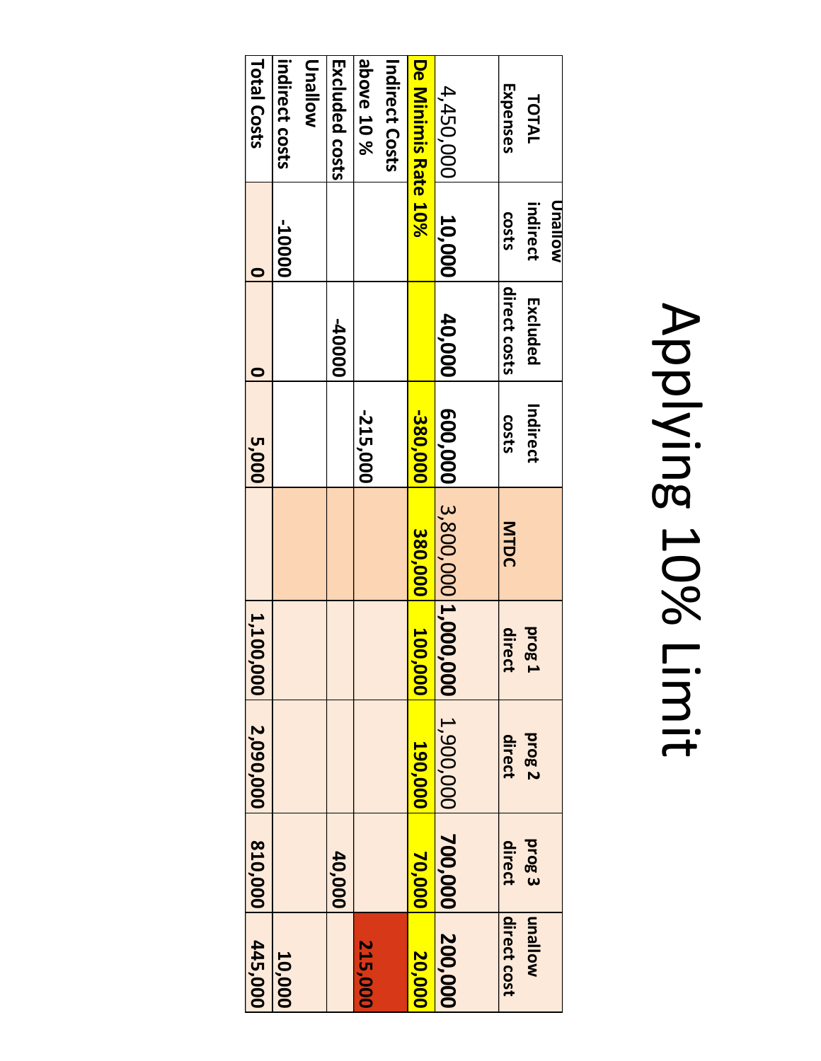## Applying 10% Limit

| 445,000     | 810,000           | 0,000 2,090,000   | 1,100             |                 | 5,000        |               |              | Total Costs           |
|-------------|-------------------|-------------------|-------------------|-----------------|--------------|---------------|--------------|-----------------------|
| 10,000      |                   |                   |                   |                 |              |               | -10000       | indirect costs        |
|             |                   |                   |                   |                 |              |               |              | <b>Unallow</b>        |
|             | 40,000            |                   |                   |                 |              | <b>00000-</b> |              | Excluded costs        |
| 215,000     |                   |                   |                   |                 | -215,000     |               |              | <b>above 10 %</b>     |
|             |                   |                   |                   |                 |              |               |              | <b>Indirect Costs</b> |
| 20,000      | 70,000            | 190,000           | 100,000           | 380,000         | -380,000     |               |              | De Minimis Rate 10%   |
| 200,000     | 700,000           | 1,900,000         | 5,000             | 3,800,000 1,000 | 600,000      | 40,000        | 10,000       | 4,450,000             |
|             |                   |                   |                   |                 |              |               |              |                       |
| direct cost | direct            | direct            | direct            | MTDC            | <b>COSTS</b> | direct costs  | <b>costs</b> | Expenses              |
| wollsnu     | prog <sub>3</sub> | prog <sub>2</sub> | prog <sub>1</sub> |                 | Indirect     | Excluded      | indirect     | TOTAL                 |
|             |                   |                   |                   |                 |              |               | Molleun      |                       |